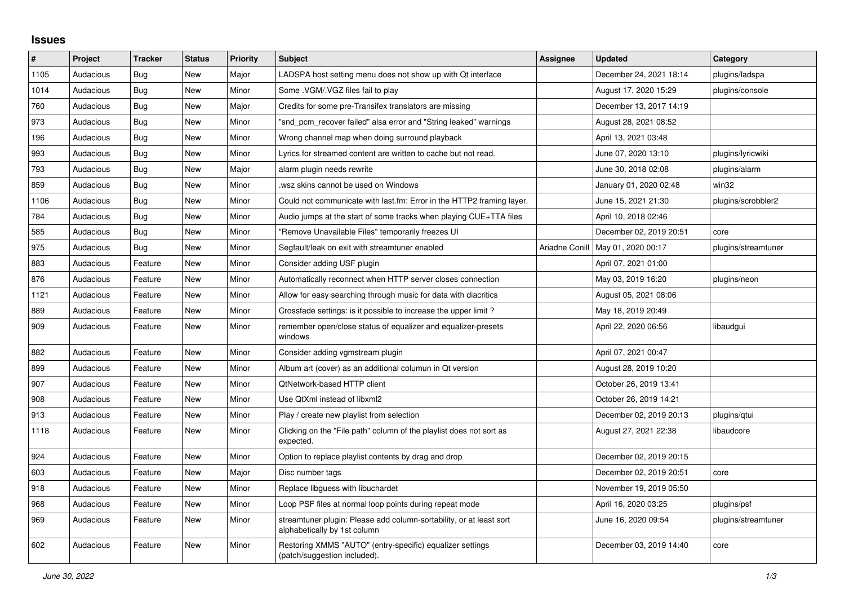## **Issues**

| #    | Project   | <b>Tracker</b> | <b>Status</b> | <b>Priority</b> | <b>Subject</b>                                                                                      | Assignee       | <b>Updated</b>          | Category            |
|------|-----------|----------------|---------------|-----------------|-----------------------------------------------------------------------------------------------------|----------------|-------------------------|---------------------|
| 1105 | Audacious | Bug            | New           | Major           | LADSPA host setting menu does not show up with Qt interface                                         |                | December 24, 2021 18:14 | plugins/ladspa      |
| 1014 | Audacious | Bug            | New           | Minor           | Some . VGM/. VGZ files fail to play                                                                 |                | August 17, 2020 15:29   | plugins/console     |
| 760  | Audacious | Bug            | New           | Major           | Credits for some pre-Transifex translators are missing                                              |                | December 13, 2017 14:19 |                     |
| 973  | Audacious | Bug            | New           | Minor           | "snd pcm recover failed" alsa error and "String leaked" warnings                                    |                | August 28, 2021 08:52   |                     |
| 196  | Audacious | Bug            | New           | Minor           | Wrong channel map when doing surround playback                                                      |                | April 13, 2021 03:48    |                     |
| 993  | Audacious | Bug            | New           | Minor           | Lyrics for streamed content are written to cache but not read.                                      |                | June 07, 2020 13:10     | plugins/lyricwiki   |
| 793  | Audacious | Bug            | <b>New</b>    | Major           | alarm plugin needs rewrite                                                                          |                | June 30, 2018 02:08     | plugins/alarm       |
| 859  | Audacious | Bug            | <b>New</b>    | Minor           | wsz skins cannot be used on Windows                                                                 |                | January 01, 2020 02:48  | win32               |
| 1106 | Audacious | Bug            | <b>New</b>    | Minor           | Could not communicate with last.fm: Error in the HTTP2 framing layer.                               |                | June 15, 2021 21:30     | plugins/scrobbler2  |
| 784  | Audacious | <b>Bug</b>     | New           | Minor           | Audio jumps at the start of some tracks when playing CUE+TTA files                                  |                | April 10, 2018 02:46    |                     |
| 585  | Audacious | <b>Bug</b>     | New           | Minor           | "Remove Unavailable Files" temporarily freezes UI                                                   |                | December 02, 2019 20:51 | core                |
| 975  | Audacious | Bug            | New           | Minor           | Segfault/leak on exit with streamtuner enabled                                                      | Ariadne Conill | May 01, 2020 00:17      | plugins/streamtuner |
| 883  | Audacious | Feature        | New           | Minor           | Consider adding USF plugin                                                                          |                | April 07, 2021 01:00    |                     |
| 876  | Audacious | Feature        | New           | Minor           | Automatically reconnect when HTTP server closes connection                                          |                | May 03, 2019 16:20      | plugins/neon        |
| 1121 | Audacious | Feature        | New           | Minor           | Allow for easy searching through music for data with diacritics                                     |                | August 05, 2021 08:06   |                     |
| 889  | Audacious | Feature        | New           | Minor           | Crossfade settings: is it possible to increase the upper limit?                                     |                | May 18, 2019 20:49      |                     |
| 909  | Audacious | Feature        | <b>New</b>    | Minor           | remember open/close status of equalizer and equalizer-presets<br>windows                            |                | April 22, 2020 06:56    | libaudgui           |
| 882  | Audacious | Feature        | <b>New</b>    | Minor           | Consider adding vgmstream plugin                                                                    |                | April 07, 2021 00:47    |                     |
| 899  | Audacious | Feature        | New           | Minor           | Album art (cover) as an additional columun in Qt version                                            |                | August 28, 2019 10:20   |                     |
| 907  | Audacious | Feature        | New           | Minor           | QtNetwork-based HTTP client                                                                         |                | October 26, 2019 13:41  |                     |
| 908  | Audacious | Feature        | New           | Minor           | Use QtXml instead of libxml2                                                                        |                | October 26, 2019 14:21  |                     |
| 913  | Audacious | Feature        | New           | Minor           | Play / create new playlist from selection                                                           |                | December 02, 2019 20:13 | plugins/qtui        |
| 1118 | Audacious | Feature        | New           | Minor           | Clicking on the "File path" column of the playlist does not sort as<br>expected.                    |                | August 27, 2021 22:38   | libaudcore          |
| 924  | Audacious | Feature        | New           | Minor           | Option to replace playlist contents by drag and drop                                                |                | December 02, 2019 20:15 |                     |
| 603  | Audacious | Feature        | New           | Major           | Disc number tags                                                                                    |                | December 02, 2019 20:51 | core                |
| 918  | Audacious | Feature        | New           | Minor           | Replace libguess with libuchardet                                                                   |                | November 19, 2019 05:50 |                     |
| 968  | Audacious | Feature        | <b>New</b>    | Minor           | Loop PSF files at normal loop points during repeat mode                                             |                | April 16, 2020 03:25    | plugins/psf         |
| 969  | Audacious | Feature        | New           | Minor           | streamtuner plugin: Please add column-sortability, or at least sort<br>alphabetically by 1st column |                | June 16, 2020 09:54     | plugins/streamtuner |
| 602  | Audacious | Feature        | <b>New</b>    | Minor           | Restoring XMMS "AUTO" (entry-specific) equalizer settings<br>(patch/suggestion included).           |                | December 03, 2019 14:40 | core                |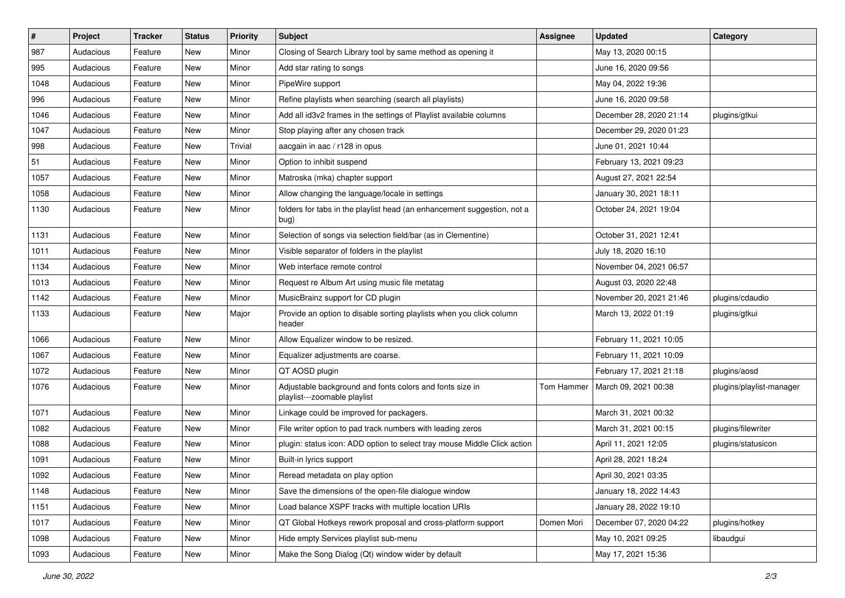| $\vert$ # | Project   | <b>Tracker</b> | <b>Status</b> | <b>Priority</b> | <b>Subject</b>                                                                           | <b>Assignee</b> | <b>Updated</b>          | Category                 |
|-----------|-----------|----------------|---------------|-----------------|------------------------------------------------------------------------------------------|-----------------|-------------------------|--------------------------|
| 987       | Audacious | Feature        | New           | Minor           | Closing of Search Library tool by same method as opening it                              |                 | May 13, 2020 00:15      |                          |
| 995       | Audacious | Feature        | <b>New</b>    | Minor           | Add star rating to songs                                                                 |                 | June 16, 2020 09:56     |                          |
| 1048      | Audacious | Feature        | New           | Minor           | PipeWire support                                                                         |                 | May 04, 2022 19:36      |                          |
| 996       | Audacious | Feature        | New           | Minor           | Refine playlists when searching (search all playlists)                                   |                 | June 16, 2020 09:58     |                          |
| 1046      | Audacious | Feature        | <b>New</b>    | Minor           | Add all id3v2 frames in the settings of Playlist available columns                       |                 | December 28, 2020 21:14 | plugins/gtkui            |
| 1047      | Audacious | Feature        | New           | Minor           | Stop playing after any chosen track                                                      |                 | December 29, 2020 01:23 |                          |
| 998       | Audacious | Feature        | New           | Trivial         | aacgain in aac / r128 in opus                                                            |                 | June 01, 2021 10:44     |                          |
| 51        | Audacious | Feature        | New           | Minor           | Option to inhibit suspend                                                                |                 | February 13, 2021 09:23 |                          |
| 1057      | Audacious | Feature        | New           | Minor           | Matroska (mka) chapter support                                                           |                 | August 27, 2021 22:54   |                          |
| 1058      | Audacious | Feature        | New           | Minor           | Allow changing the language/locale in settings                                           |                 | January 30, 2021 18:11  |                          |
| 1130      | Audacious | Feature        | New           | Minor           | folders for tabs in the playlist head (an enhancement suggestion, not a<br>bug)          |                 | October 24, 2021 19:04  |                          |
| 1131      | Audacious | Feature        | New           | Minor           | Selection of songs via selection field/bar (as in Clementine)                            |                 | October 31, 2021 12:41  |                          |
| 1011      | Audacious | Feature        | New           | Minor           | Visible separator of folders in the playlist                                             |                 | July 18, 2020 16:10     |                          |
| 1134      | Audacious | Feature        | New           | Minor           | Web interface remote control                                                             |                 | November 04, 2021 06:57 |                          |
| 1013      | Audacious | Feature        | New           | Minor           | Request re Album Art using music file metatag                                            |                 | August 03, 2020 22:48   |                          |
| 1142      | Audacious | Feature        | New           | Minor           | MusicBrainz support for CD plugin                                                        |                 | November 20, 2021 21:46 | plugins/cdaudio          |
| 1133      | Audacious | Feature        | New           | Major           | Provide an option to disable sorting playlists when you click column<br>header           |                 | March 13, 2022 01:19    | plugins/gtkui            |
| 1066      | Audacious | Feature        | New           | Minor           | Allow Equalizer window to be resized.                                                    |                 | February 11, 2021 10:05 |                          |
| 1067      | Audacious | Feature        | New           | Minor           | Equalizer adjustments are coarse.                                                        |                 | February 11, 2021 10:09 |                          |
| 1072      | Audacious | Feature        | New           | Minor           | QT AOSD plugin                                                                           |                 | February 17, 2021 21:18 | plugins/aosd             |
| 1076      | Audacious | Feature        | New           | Minor           | Adjustable background and fonts colors and fonts size in<br>playlist---zoomable playlist | Tom Hammer      | March 09, 2021 00:38    | plugins/playlist-manager |
| 1071      | Audacious | Feature        | New           | Minor           | Linkage could be improved for packagers.                                                 |                 | March 31, 2021 00:32    |                          |
| 1082      | Audacious | Feature        | <b>New</b>    | Minor           | File writer option to pad track numbers with leading zeros                               |                 | March 31, 2021 00:15    | plugins/filewriter       |
| 1088      | Audacious | Feature        | New           | Minor           | plugin: status icon: ADD option to select tray mouse Middle Click action                 |                 | April 11, 2021 12:05    | plugins/statusicon       |
| 1091      | Audacious | Feature        | <b>New</b>    | Minor           | Built-in lyrics support                                                                  |                 | April 28, 2021 18:24    |                          |
| 1092      | Audacious | Feature        | New           | Minor           | Reread metadata on play option                                                           |                 | April 30, 2021 03:35    |                          |
| 1148      | Audacious | Feature        | New           | Minor           | Save the dimensions of the open-file dialogue window                                     |                 | January 18, 2022 14:43  |                          |
| 1151      | Audacious | Feature        | New           | Minor           | Load balance XSPF tracks with multiple location URIs                                     |                 | January 28, 2022 19:10  |                          |
| 1017      | Audacious | Feature        | New           | Minor           | QT Global Hotkeys rework proposal and cross-platform support                             | Domen Mori      | December 07, 2020 04:22 | plugins/hotkey           |
| 1098      | Audacious | Feature        | New           | Minor           | Hide empty Services playlist sub-menu                                                    |                 | May 10, 2021 09:25      | libaudgui                |
| 1093      | Audacious | Feature        | New           | Minor           | Make the Song Dialog (Qt) window wider by default                                        |                 | May 17, 2021 15:36      |                          |